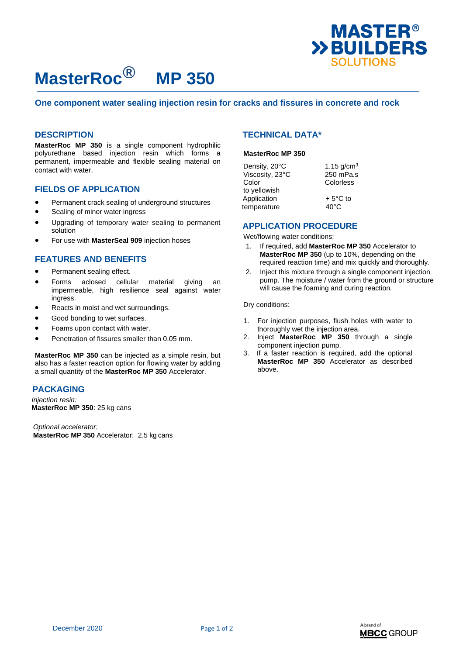

# **MasterRoc® MP 350**

#### **One component water sealing injection resin for cracks and fissures in concrete and rock**

## **DESCRIPTION**

**MasterRoc MP 350** is a single component hydrophilic polyurethane based injection resin which forms a permanent, impermeable and flexible sealing material on contact with water.

#### **FIELDS OF APPLICATION**

- Permanent crack sealing of underground structures
- Sealing of minor water ingress
- Upgrading of temporary water sealing to permanent solution
- For use with **MasterSeal 909** injection hoses

### **FEATURES AND BENEFITS**

- Permanent sealing effect.
- Forms aclosed cellular material giving an impermeable, high resilience seal against water ingress.
- Reacts in moist and wet surroundings.
- Good bonding to wet surfaces.
- Foams upon contact with water.
- Penetration of fissures smaller than 0.05 mm.

**MasterRoc MP 350** can be injected as a simple resin, but also has a faster reaction option for flowing water by adding a small quantity of the **MasterRoc MP 350** Accelerator.

## **PACKAGING**

 *Injection resin:*  **MasterRoc MP 350**: 25 kg cans

*Optional accelerator:* **MasterRoc MP 350** Accelerator: 2.5 kg cans

## **TECHNICAL DATA\***

#### **MasterRoc MP 350**

| Density, 20°C   | 1.15 $g/cm^{3}$   |
|-----------------|-------------------|
| Viscosity, 23°C | 250 mPa.s         |
| Color           | Colorless         |
| to yellowish    |                   |
| Application     | $+5^{\circ}$ C to |
| temperature     | $40^{\circ}$ C    |
|                 |                   |

## **APPLICATION PROCEDURE**

Wet/flowing water conditions:

- 1. If required, add **MasterRoc MP 350** Accelerator to **MasterRoc MP 350** (up to 10%, depending on the required reaction time) and mix quickly and thoroughly.
- 2. Inject this mixture through a single component injection pump. The moisture / water from the ground or structure will cause the foaming and curing reaction.

Dry conditions:

- 1. For injection purposes, flush holes with water to thoroughly wet the injection area.
- 2. Inject **MasterRoc MP 350** through a single component injection pump.
- 3. If a faster reaction is required, add the optional **MasterRoc MP 350** Accelerator as described above.